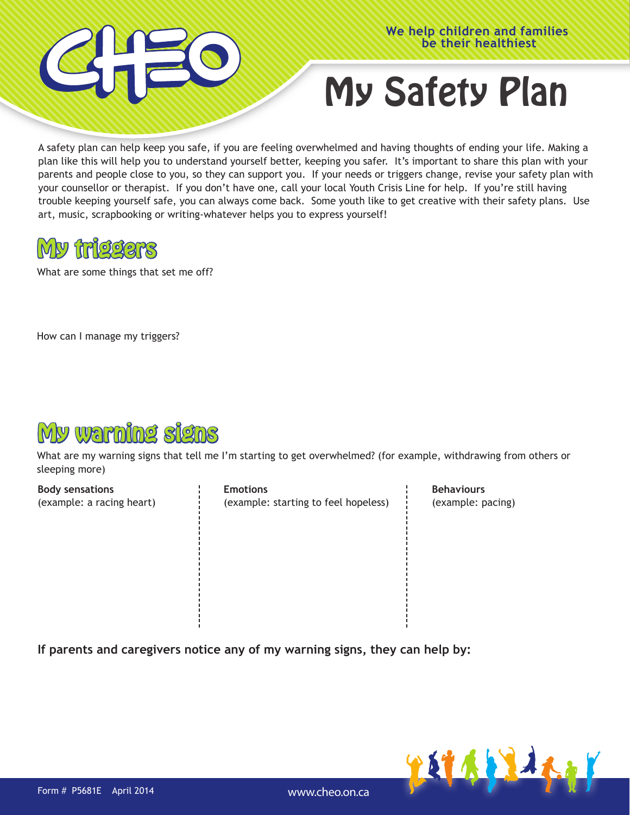



## My Safety Plan

A safety plan can help keep you safe, if you are feeling overwhelmed and having thoughts of ending your life. Making a plan like this will help you to understand yourself better, keeping you safer. It's important to share this plan with your parents and people close to you, so they can support you. If your needs or triggers change, revise your safety plan with your counsellor or therapist. If you don't have one, call your local Youth Crisis Line for help. If you're still having trouble keeping yourself safe, you can always come back. Some youth like to get creative with their safety plans. Use art, music, scrapbooking or writing-whatever helps you to express yourself!



What are some things that set me off?

How can I manage my triggers?



What are my warning signs that tell me I'm starting to get overwhelmed? (for example, withdrawing from others or sleeping more)

**Body sensations** (example: a racing heart) **Emotions** (example: starting to feel hopeless)

**Behaviours** (example: pacing)

**If parents and caregivers notice any of my warning signs, they can help by:**